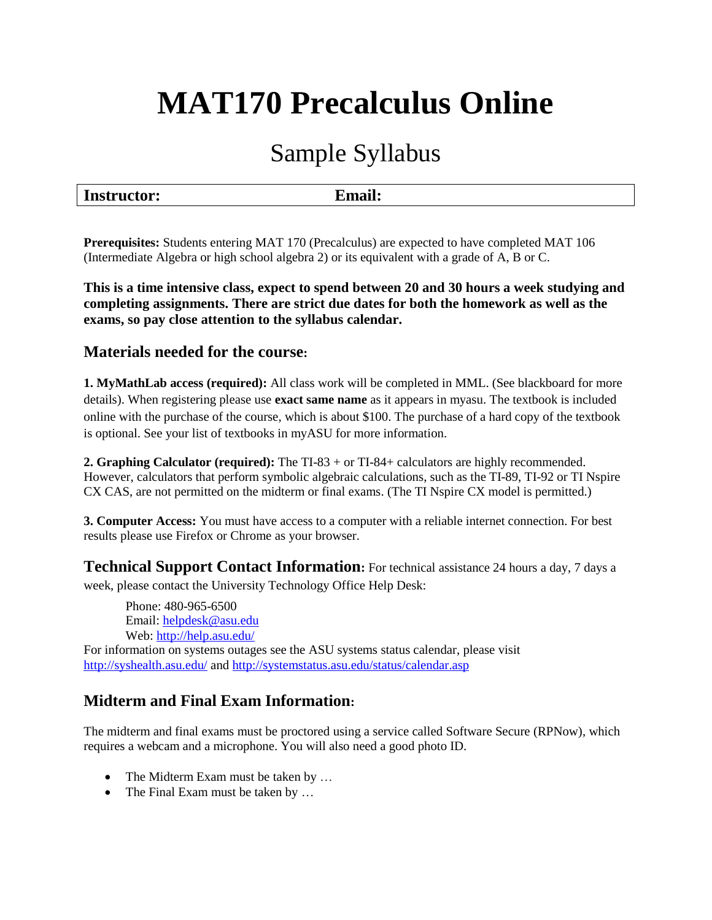# **MAT170 Precalculus Online**

# Sample Syllabus

| <b>Instructor:</b><br><b>Email:</b> |  |
|-------------------------------------|--|
|-------------------------------------|--|

**Prerequisites:** Students entering MAT 170 (Precalculus) are expected to have completed MAT 106 (Intermediate Algebra or high school algebra 2) or its equivalent with a grade of A, B or C.

**This is a time intensive class, expect to spend between 20 and 30 hours a week studying and completing assignments. There are strict due dates for both the homework as well as the exams, so pay close attention to the syllabus calendar.** 

## **Materials needed for the course:**

**1. MyMathLab access (required):** All class work will be completed in MML. (See blackboard for more details). When registering please use **exact same name** as it appears in myasu. The textbook is included online with the purchase of the course, which is about \$100. The purchase of a hard copy of the textbook is optional. See your list of textbooks in myASU for more information.

**2. Graphing Calculator (required):** The TI-83 + or TI-84+ calculators are highly recommended. However, calculators that perform symbolic algebraic calculations, such as the TI-89, TI-92 or TI Nspire CX CAS, are not permitted on the midterm or final exams. (The TI Nspire CX model is permitted.)

**3. Computer Access:** You must have access to a computer with a reliable internet connection. For best results please use Firefox or Chrome as your browser.

**Technical Support Contact Information:** For technical assistance 24 hours a day, 7 days a week, please contact the University Technology Office Help Desk:

Phone: 480-965-6500 Email: [helpdesk@asu.edu](mailto:helpdesk@asu.edu)  Web:<http://help.asu.edu/>

For information on systems outages see the ASU systems status calendar, please visit <http://syshealth.asu.edu/> an[d http://systemstatus.asu.edu/status/calendar.asp](http://systemstatus.asu.edu/status/calendar.asp)

# **Midterm and Final Exam Information:**

The midterm and final exams must be proctored using a service called Software Secure (RPNow), which requires a webcam and a microphone. You will also need a good photo ID.

- The Midterm Exam must be taken by ...
- The Final Exam must be taken by ...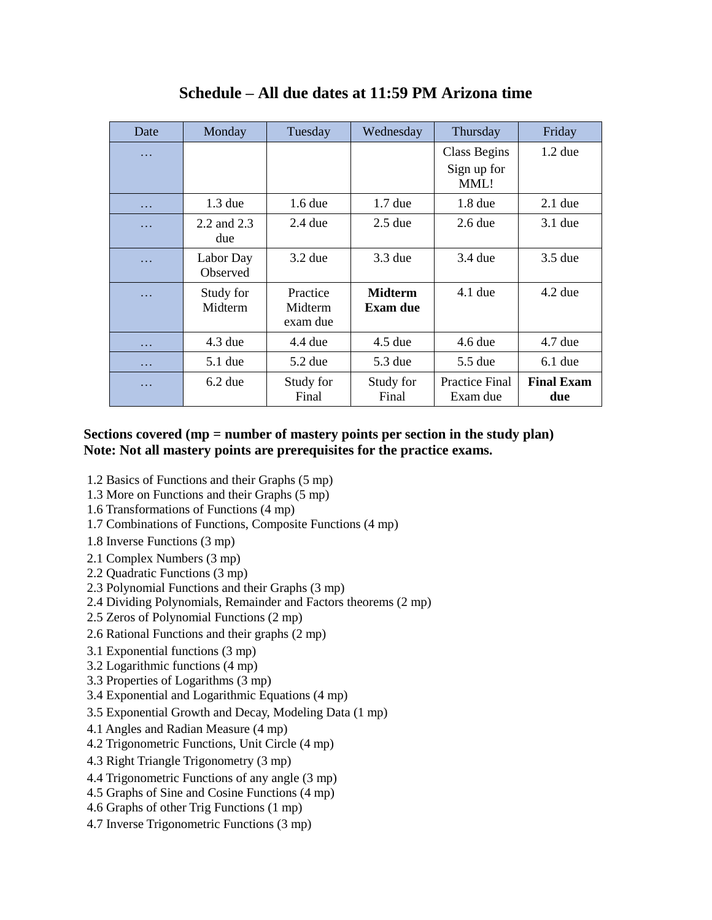| Date | Monday                | Tuesday                         | Wednesday                         | Thursday                                   | Friday                   |
|------|-----------------------|---------------------------------|-----------------------------------|--------------------------------------------|--------------------------|
| .    |                       |                                 |                                   | <b>Class Begins</b><br>Sign up for<br>MML! | $1.2$ due                |
| .    | $1.3$ due             | $1.6$ due                       | $1.7$ due                         | $1.8$ due                                  | $2.1$ due                |
| .    | 2.2 and 2.3<br>due    | $2.4$ due                       | $2.5$ due                         | $2.6$ due                                  | $3.1$ due                |
| .    | Labor Day<br>Observed | $3.2$ due                       | $3.3$ due                         | 3.4 due                                    | $3.5$ due                |
| .    | Study for<br>Midterm  | Practice<br>Midterm<br>exam due | <b>Midterm</b><br><b>Exam due</b> | $4.1$ due                                  | $4.2$ due                |
| .    | $4.3$ due             | $4.4$ due                       | $4.5$ due                         | $4.6$ due                                  | $4.7$ due                |
| .    | $5.1$ due             | $5.2$ due                       | 5.3 due                           | 5.5 due                                    | $6.1$ due                |
| .    | $6.2$ due             | Study for<br>Final              | Study for<br>Final                | <b>Practice Final</b><br>Exam due          | <b>Final Exam</b><br>due |

**Schedule – All due dates at 11:59 PM Arizona time**

#### **Sections covered (mp = number of mastery points per section in the study plan) Note: Not all mastery points are prerequisites for the practice exams.**

- 1.2 Basics of Functions and their Graphs (5 mp)
- 1.3 More on Functions and their Graphs (5 mp)
- 1.6 Transformations of Functions (4 mp)
- 1.7 Combinations of Functions, Composite Functions (4 mp)
- 1.8 Inverse Functions (3 mp)
- 2.1 Complex Numbers (3 mp)
- 2.2 Quadratic Functions (3 mp)
- 2.3 Polynomial Functions and their Graphs (3 mp)
- 2.4 Dividing Polynomials, Remainder and Factors theorems (2 mp)
- 2.5 Zeros of Polynomial Functions (2 mp)
- 2.6 Rational Functions and their graphs (2 mp)
- 3.1 Exponential functions (3 mp)
- 3.2 Logarithmic functions (4 mp)
- 3.3 Properties of Logarithms (3 mp)
- 3.4 Exponential and Logarithmic Equations (4 mp)
- 3.5 Exponential Growth and Decay, Modeling Data (1 mp)
- 4.1 Angles and Radian Measure (4 mp)
- 4.2 Trigonometric Functions, Unit Circle (4 mp)
- 4.3 Right Triangle Trigonometry (3 mp)
- 4.4 Trigonometric Functions of any angle (3 mp)
- 4.5 Graphs of Sine and Cosine Functions (4 mp)
- 4.6 Graphs of other Trig Functions (1 mp)
- 4.7 Inverse Trigonometric Functions (3 mp)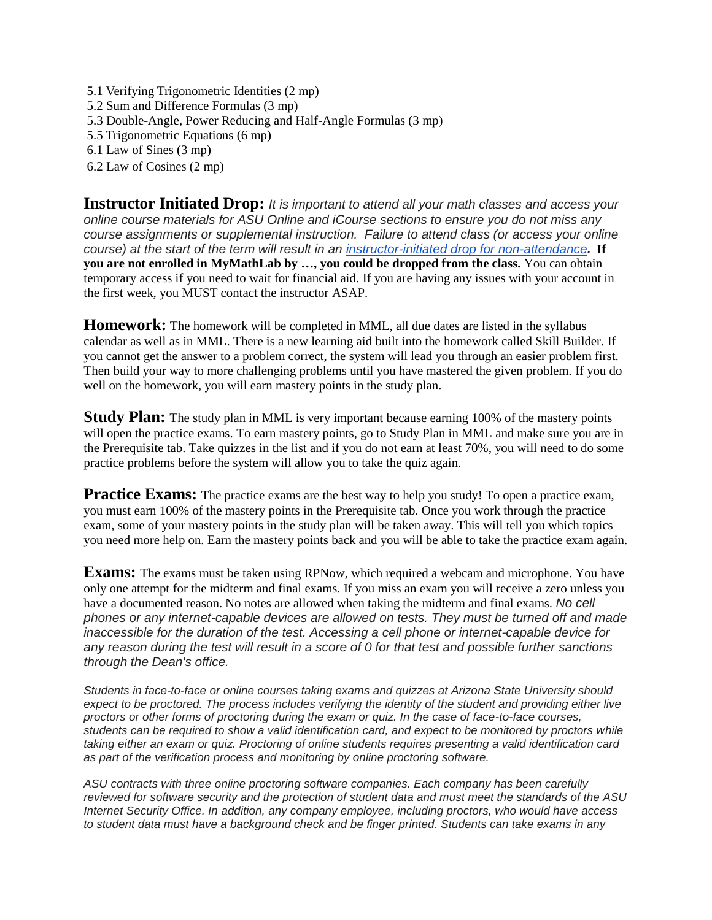- 5.1 Verifying Trigonometric Identities (2 mp) 5.2 Sum and Difference Formulas (3 mp) 5.3 Double-Angle, Power Reducing and Half-Angle Formulas (3 mp) 5.5 Trigonometric Equations (6 mp) 6.1 Law of Sines (3 mp)
- 6.2 Law of Cosines (2 mp)

**Instructor Initiated Drop:** *It is important to attend all your math classes and access your online course materials for ASU Online and iCourse sections to ensure you do not miss any course assignments or supplemental instruction. Failure to attend class (or access your online course) at the start of the term will result in an instructor-initiated drop [for non-attendance](http://www.asu.edu/aad/manuals/ssm/ssm201-02.html).* **If you are not enrolled in MyMathLab by …, you could be dropped from the class.** You can obtain temporary access if you need to wait for financial aid. If you are having any issues with your account in the first week, you MUST contact the instructor ASAP.

**Homework:** The homework will be completed in MML, all due dates are listed in the syllabus calendar as well as in MML. There is a new learning aid built into the homework called Skill Builder. If you cannot get the answer to a problem correct, the system will lead you through an easier problem first. Then build your way to more challenging problems until you have mastered the given problem. If you do well on the homework, you will earn mastery points in the study plan.

**Study Plan:** The study plan in MML is very important because earning 100% of the mastery points will open the practice exams. To earn mastery points, go to Study Plan in MML and make sure you are in the Prerequisite tab. Take quizzes in the list and if you do not earn at least 70%, you will need to do some practice problems before the system will allow you to take the quiz again.

**Practice Exams:** The practice exams are the best way to help you study! To open a practice exam, you must earn 100% of the mastery points in the Prerequisite tab. Once you work through the practice exam, some of your mastery points in the study plan will be taken away. This will tell you which topics you need more help on. Earn the mastery points back and you will be able to take the practice exam again.

**Exams:** The exams must be taken using RPNow, which required a webcam and microphone. You have only one attempt for the midterm and final exams. If you miss an exam you will receive a zero unless you have a documented reason. No notes are allowed when taking the midterm and final exams. *No cell phones or any internet-capable devices are allowed on tests. They must be turned off and made inaccessible for the duration of the test. Accessing a cell phone or internet-capable device for any reason during the test will result in a score of 0 for that test and possible further sanctions through the Dean's office.*

*Students in face-to-face or online courses taking exams and quizzes at Arizona State University should expect to be proctored. The process includes verifying the identity of the student and providing either live proctors or other forms of proctoring during the exam or quiz. In the case of face-to-face courses, students can be required to show a valid identification card, and expect to be monitored by proctors while taking either an exam or quiz. Proctoring of online students requires presenting a valid identification card as part of the verification process and monitoring by online proctoring software.*

*ASU contracts with three online proctoring software companies. Each company has been carefully reviewed for software security and the protection of student data and must meet the standards of the ASU Internet Security Office. In addition, any company employee, including proctors, who would have access to student data must have a background check and be finger printed. Students can take exams in any*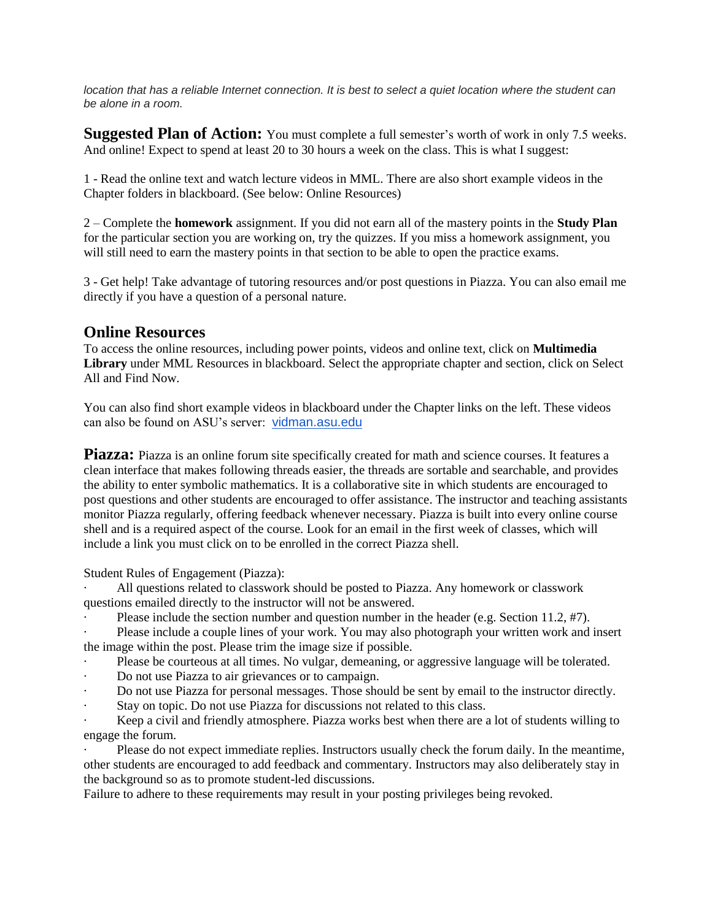*location that has a reliable Internet connection. It is best to select a quiet location where the student can be alone in a room.*

**Suggested Plan of Action:** You must complete a full semester's worth of work in only 7.5 weeks. And online! Expect to spend at least 20 to 30 hours a week on the class. This is what I suggest:

1 - Read the online text and watch lecture videos in MML. There are also short example videos in the Chapter folders in blackboard. (See below: Online Resources)

2 – Complete the **homework** assignment. If you did not earn all of the mastery points in the **Study Plan** for the particular section you are working on, try the quizzes. If you miss a homework assignment, you will still need to earn the mastery points in that section to be able to open the practice exams.

3 - Get help! Take advantage of tutoring resources and/or post questions in Piazza. You can also email me directly if you have a question of a personal nature.

## **Online Resources**

To access the online resources, including power points, videos and online text, click on **Multimedia Library** under MML Resources in blackboard. Select the appropriate chapter and section, click on Select All and Find Now.

You can also find short example videos in blackboard under the Chapter links on the left. These videos can also be found on ASU's server: [vidman.asu.edu](http://vidman.asu.edu/)

**Piazza:** Piazza is an online forum site specifically created for math and science courses. It features a clean interface that makes following threads easier, the threads are sortable and searchable, and provides the ability to enter symbolic mathematics. It is a collaborative site in which students are encouraged to post questions and other students are encouraged to offer assistance. The instructor and teaching assistants monitor Piazza regularly, offering feedback whenever necessary. Piazza is built into every online course shell and is a required aspect of the course. Look for an email in the first week of classes, which will include a link you must click on to be enrolled in the correct Piazza shell.

Student Rules of Engagement (Piazza):

· All questions related to classwork should be posted to Piazza. Any homework or classwork questions emailed directly to the instructor will not be answered.

- Please include the section number and question number in the header (e.g. Section 11.2, #7).
- Please include a couple lines of your work. You may also photograph your written work and insert the image within the post. Please trim the image size if possible.
- Please be courteous at all times. No vulgar, demeaning, or aggressive language will be tolerated.
- Do not use Piazza to air grievances or to campaign.
- · Do not use Piazza for personal messages. Those should be sent by email to the instructor directly.
- Stay on topic. Do not use Piazza for discussions not related to this class.

Keep a civil and friendly atmosphere. Piazza works best when there are a lot of students willing to engage the forum.

Please do not expect immediate replies. Instructors usually check the forum daily. In the meantime, other students are encouraged to add feedback and commentary. Instructors may also deliberately stay in the background so as to promote student-led discussions.

Failure to adhere to these requirements may result in your posting privileges being revoked.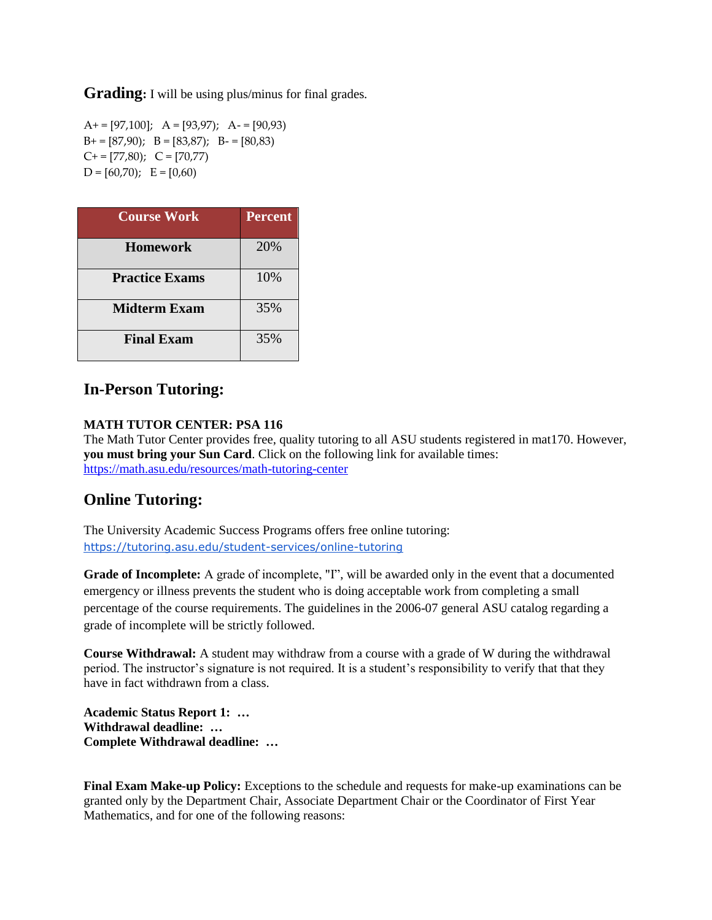**Grading:** I will be using plus/minus for final grades.

 $A+= [97,100]$ ;  $A=[93,97]$ ;  $A-= [90,93)$  $B+= [87,90); B = [83,87); B = [80,83]$  $C = [77,80);$   $C = [70,77]$  $D = [60,70); E = [0,60]$ 

| <b>Course Work</b>    | <b>Percent</b> |
|-----------------------|----------------|
| <b>Homework</b>       | 20%            |
| <b>Practice Exams</b> | 10%            |
| <b>Midterm Exam</b>   | 35%            |
| <b>Final Exam</b>     | 35%            |

# **In-Person Tutoring:**

#### **MATH TUTOR CENTER: PSA 116**

The Math Tutor Center provides free, quality tutoring to all ASU students registered in mat170. However, **you must bring your Sun Card**. Click on the following link for available times: <https://math.asu.edu/resources/math-tutoring-center>

# **Online Tutoring:**

The University Academic Success Programs offers free online tutoring: <https://tutoring.asu.edu/student-services/online-tutoring>

**Grade of Incomplete:** A grade of incomplete, "I", will be awarded only in the event that a documented emergency or illness prevents the student who is doing acceptable work from completing a small percentage of the course requirements. The guidelines in the 2006-07 general ASU catalog regarding a grade of incomplete will be strictly followed.

**Course Withdrawal:** A student may withdraw from a course with a grade of W during the withdrawal period. The instructor's signature is not required. It is a student's responsibility to verify that that they have in fact withdrawn from a class.

**Academic Status Report 1: … Withdrawal deadline: … Complete Withdrawal deadline: …**

**Final Exam Make-up Policy:** Exceptions to the schedule and requests for make-up examinations can be granted only by the Department Chair, Associate Department Chair or the Coordinator of First Year Mathematics, and for one of the following reasons: